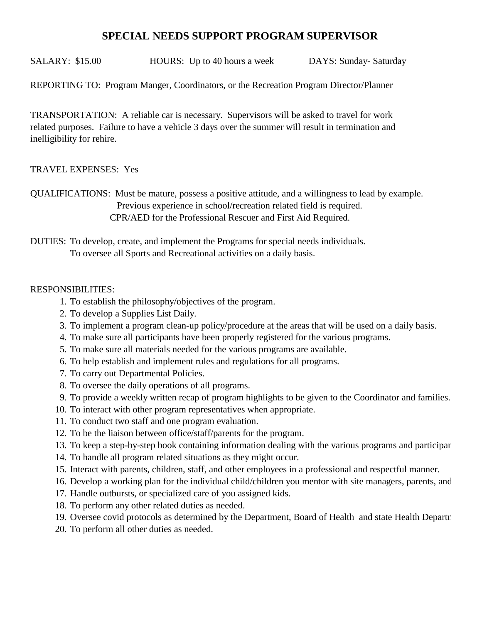## **SPECIAL NEEDS SUPPORT PROGRAM SUPERVISOR**

SALARY: \$15.00 HOURS: Up to 40 hours a week DAYS: Sunday-Saturday

REPORTING TO: Program Manger, Coordinators, or the Recreation Program Director/Planner

TRANSPORTATION: A reliable car is necessary. Supervisors will be asked to travel for work related purposes. Failure to have a vehicle 3 days over the summer will result in termination and inelligibility for rehire.

## TRAVEL EXPENSES: Yes

QUALIFICATIONS: Must be mature, possess a positive attitude, and a willingness to lead by example. Previous experience in school/recreation related field is required. CPR/AED for the Professional Rescuer and First Aid Required.

DUTIES: To develop, create, and implement the Programs for special needs individuals. To oversee all Sports and Recreational activities on a daily basis.

## RESPONSIBILITIES:

- 1. To establish the philosophy/objectives of the program.
- 2. To develop a Supplies List Daily.
- 3. To implement a program clean-up policy/procedure at the areas that will be used on a daily basis.
- 4. To make sure all participants have been properly registered for the various programs.
- 5. To make sure all materials needed for the various programs are available.
- 6. To help establish and implement rules and regulations for all programs.
- 7. To carry out Departmental Policies.
- 8. To oversee the daily operations of all programs.
- 9. To provide a weekly written recap of program highlights to be given to the Coordinator and families.
- 10. To interact with other program representatives when appropriate.
- 11. To conduct two staff and one program evaluation.
- 12. To be the liaison between office/staff/parents for the program.
- 13. To keep a step-by-step book containing information dealing with the various programs and participar
- 14. To handle all program related situations as they might occur.
- 15. Interact with parents, children, staff, and other employees in a professional and respectful manner.
- 16. Develop a working plan for the individual child/children you mentor with site managers, parents, and
- 17. Handle outbursts, or specialized care of you assigned kids.
- 18. To perform any other related duties as needed.
- 19. Oversee covid protocols as determined by the Department, Board of Health and state Health Department.
- 20. To perform all other duties as needed.